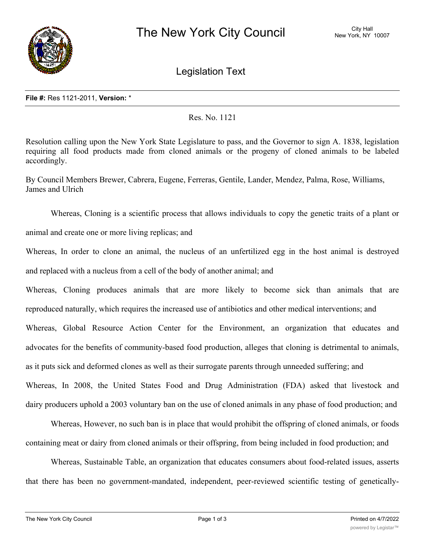

Legislation Text

Res. No. 1121

Resolution calling upon the New York State Legislature to pass, and the Governor to sign A. 1838, legislation requiring all food products made from cloned animals or the progeny of cloned animals to be labeled accordingly.

By Council Members Brewer, Cabrera, Eugene, Ferreras, Gentile, Lander, Mendez, Palma, Rose, Williams, James and Ulrich

Whereas, Cloning is a scientific process that allows individuals to copy the genetic traits of a plant or animal and create one or more living replicas; and

Whereas, In order to clone an animal, the nucleus of an unfertilized egg in the host animal is destroyed and replaced with a nucleus from a cell of the body of another animal; and

Whereas, Cloning produces animals that are more likely to become sick than animals that are reproduced naturally, which requires the increased use of antibiotics and other medical interventions; and Whereas, Global Resource Action Center for the Environment, an organization that educates and advocates for the benefits of community-based food production, alleges that cloning is detrimental to animals, as it puts sick and deformed clones as well as their surrogate parents through unneeded suffering; and Whereas, In 2008, the United States Food and Drug Administration (FDA) asked that livestock and dairy producers uphold a 2003 voluntary ban on the use of cloned animals in any phase of food production; and

Whereas, However, no such ban is in place that would prohibit the offspring of cloned animals, or foods containing meat or dairy from cloned animals or their offspring, from being included in food production; and

Whereas, Sustainable Table, an organization that educates consumers about food-related issues, asserts that there has been no government-mandated, independent, peer-reviewed scientific testing of genetically-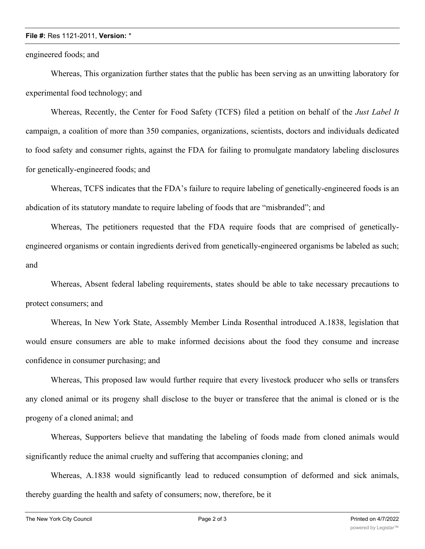## **File #:** Res 1121-2011, **Version:** \*

engineered foods; and

Whereas, This organization further states that the public has been serving as an unwitting laboratory for experimental food technology; and

Whereas, Recently, the Center for Food Safety (TCFS) filed a petition on behalf of the *Just Label It* campaign, a coalition of more than 350 companies, organizations, scientists, doctors and individuals dedicated to food safety and consumer rights, against the FDA for failing to promulgate mandatory labeling disclosures for genetically-engineered foods; and

Whereas, TCFS indicates that the FDA's failure to require labeling of genetically-engineered foods is an abdication of its statutory mandate to require labeling of foods that are "misbranded"; and

Whereas, The petitioners requested that the FDA require foods that are comprised of geneticallyengineered organisms or contain ingredients derived from genetically-engineered organisms be labeled as such; and

Whereas, Absent federal labeling requirements, states should be able to take necessary precautions to protect consumers; and

Whereas, In New York State, Assembly Member Linda Rosenthal introduced A.1838, legislation that would ensure consumers are able to make informed decisions about the food they consume and increase confidence in consumer purchasing; and

Whereas, This proposed law would further require that every livestock producer who sells or transfers any cloned animal or its progeny shall disclose to the buyer or transferee that the animal is cloned or is the progeny of a cloned animal; and

Whereas, Supporters believe that mandating the labeling of foods made from cloned animals would significantly reduce the animal cruelty and suffering that accompanies cloning; and

Whereas, A.1838 would significantly lead to reduced consumption of deformed and sick animals, thereby guarding the health and safety of consumers; now, therefore, be it